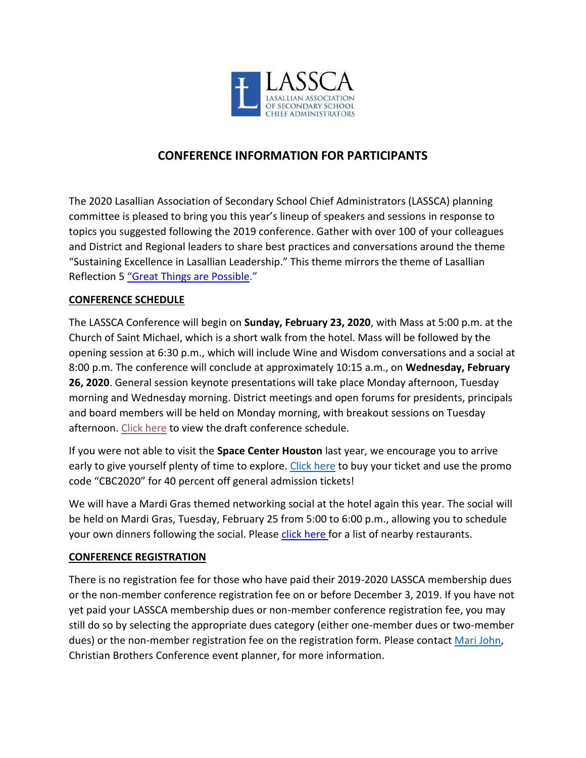

# **CONFERENCE INFORMATION FOR PARTICIPANTS**

The 2020 Lasallian Association of Secondary School Chief Administrators (LASSCA) planning committee is pleased to bring you this year's lineup of speakers and sessions in response to topics you suggested following the 2019 conference. Gather with over 100 of your colleagues and District and Regional leaders to share best practices and conversations around the theme "Sustaining Excellence in Lasallian Leadership." This theme mirrors the theme of Lasallian Reflection 5 ["Great Things are Possible."](https://www.lasalle.org/wp-content/uploads/2019/09/REFLEXION-LASALLISTA-5_EN_entregable-final.pdf)

# **CONFERENCE SCHEDULE**

The LASSCA Conference will begin on **Sunday, February 23, 2020**, with Mass at 5:00 p.m. at the Church of Saint Michael, which is a short walk from the hotel. Mass will be followed by the opening session at 6:30 p.m., which will include Wine and Wisdom conversations and a social at 8:00 p.m. The conference will conclude at approximately 10:15 a.m., on **Wednesday, February 26, 2020**. General session keynote presentations will take place Monday afternoon, Tuesday morning and Wednesday morning. District meetings and open forums for presidents, principals and board members will be held on Monday morning, with breakout sessions on Tuesday afternoon[. Click here](https://www.lasallian.info/wp-content/uploads/2019/12/2020-LASSCA-Draft-Schedule-Final.pdf) to view the draft conference schedule.

If you were not able to visit the **Space Center Houston** last year, we encourage you to arrive early to give yourself plenty of time to explore. [Click here](https://spacecenter.org/) to buy your ticket and use the promo code "CBC2020" for 40 percent off general admission tickets!

We will have a Mardi Gras themed networking social at the hotel again this year. The social will be held on Mardi Gras, Tuesday, February 25 from 5:00 to 6:00 p.m., allowing you to schedule your own dinners following the social. Please [click here](https://www.lasallian.info/wp-content/uploads/2018/12/2019-Houston-Restaurants-FINAL.pdf) for a list of nearby restaurants.

# **CONFERENCE REGISTRATION**

There is no registration fee for those who have paid their 2019-2020 LASSCA membership dues or the non-member conference registration fee on or before December 3, 2019. If you have not yet paid your LASSCA membership dues or non-member conference registration fee, you may still do so by selecting the appropriate dues category (either one-member dues or two-member dues) or the non-member registration fee on the registration form. Please contact [Mari John,](mailto:mjohn@cbconf.org) Christian Brothers Conference event planner, for more information.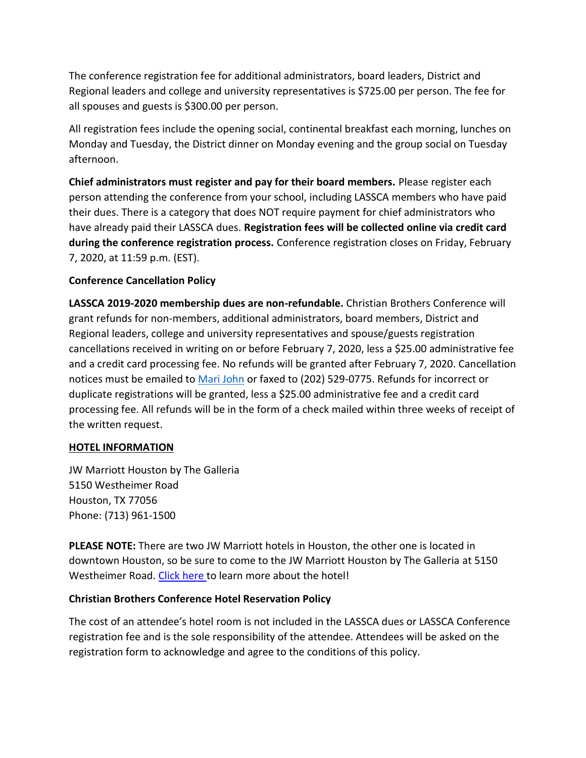The conference registration fee for additional administrators, board leaders, District and Regional leaders and college and university representatives is \$725.00 per person. The fee for all spouses and guests is \$300.00 per person.

All registration fees include the opening social, continental breakfast each morning, lunches on Monday and Tuesday, the District dinner on Monday evening and the group social on Tuesday afternoon.

**Chief administrators must register and pay for their board members.** Please register each person attending the conference from your school, including LASSCA members who have paid their dues. There is a category that does NOT require payment for chief administrators who have already paid their LASSCA dues. **Registration fees will be collected online via credit card during the conference registration process.** Conference registration closes on Friday, February 7, 2020, at 11:59 p.m. (EST).

# **Conference Cancellation Policy**

**LASSCA 2019-2020 membership dues are non-refundable.** Christian Brothers Conference will grant refunds for non-members, additional administrators, board members, District and Regional leaders, college and university representatives and spouse/guests registration cancellations received in writing on or before February 7, 2020, less a \$25.00 administrative fee and a credit card processing fee. No refunds will be granted after February 7, 2020. Cancellation notices must be emailed to [Mari John](mailto:mjohn@cbconf.org) or faxed to (202) 529-0775. Refunds for incorrect or duplicate registrations will be granted, less a \$25.00 administrative fee and a credit card processing fee. All refunds will be in the form of a check mailed within three weeks of receipt of the written request.

# **HOTEL INFORMATION**

JW Marriott Houston by The Galleria 5150 Westheimer Road Houston, TX 77056 Phone: (713) 961-1500

**PLEASE NOTE:** There are two JW Marriott hotels in Houston, the other one is located in downtown Houston, so be sure to come to the JW Marriott Houston by The Galleria at 5150 Westheimer Road. [Click here](https://www.marriott.com/hotels/travel/houjw-jw-marriott-houston-by-the-galleria/) to learn more about the hotel!

# **Christian Brothers Conference Hotel Reservation Policy**

The cost of an attendee's hotel room is not included in the LASSCA dues or LASSCA Conference registration fee and is the sole responsibility of the attendee. Attendees will be asked on the registration form to acknowledge and agree to the conditions of this policy.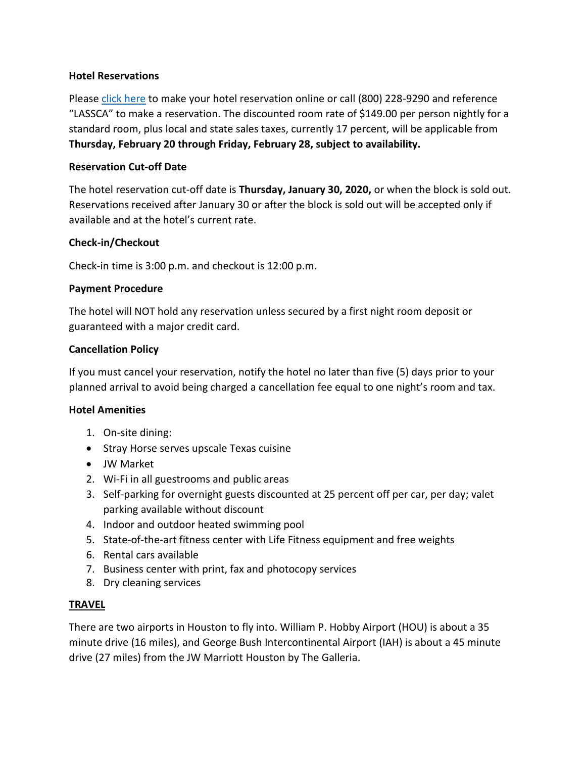### **Hotel Reservations**

Please [click here](https://www.marriott.com/event-reservations/reservation-link.mi?id=1559241115368&key=GRP&app=resvlink) to make your hotel reservation online or call (800) 228-9290 and reference "LASSCA" to make a reservation. The discounted room rate of \$149.00 per person nightly for a standard room, plus local and state sales taxes, currently 17 percent, will be applicable from **Thursday, February 20 through Friday, February 28, subject to availability.**

#### **Reservation Cut-off Date**

The hotel reservation cut-off date is **Thursday, January 30, 2020,** or when the block is sold out. Reservations received after January 30 or after the block is sold out will be accepted only if available and at the hotel's current rate.

#### **Check-in/Checkout**

Check-in time is 3:00 p.m. and checkout is 12:00 p.m.

#### **Payment Procedure**

The hotel will NOT hold any reservation unless secured by a first night room deposit or guaranteed with a major credit card.

#### **Cancellation Policy**

If you must cancel your reservation, notify the hotel no later than five (5) days prior to your planned arrival to avoid being charged a cancellation fee equal to one night's room and tax.

#### **Hotel Amenities**

- 1. On-site dining:
- Stray Horse serves upscale Texas cuisine
- JW Market
- 2. Wi-Fi in all guestrooms and public areas
- 3. Self-parking for overnight guests discounted at 25 percent off per car, per day; valet parking available without discount
- 4. Indoor and outdoor heated swimming pool
- 5. State-of-the-art fitness center with Life Fitness equipment and free weights
- 6. Rental cars available
- 7. Business center with print, fax and photocopy services
- 8. Dry cleaning services

# **TRAVEL**

There are two airports in Houston to fly into. William P. Hobby Airport (HOU) is about a 35 minute drive (16 miles), and George Bush Intercontinental Airport (IAH) is about a 45 minute drive (27 miles) from the JW Marriott Houston by The Galleria.